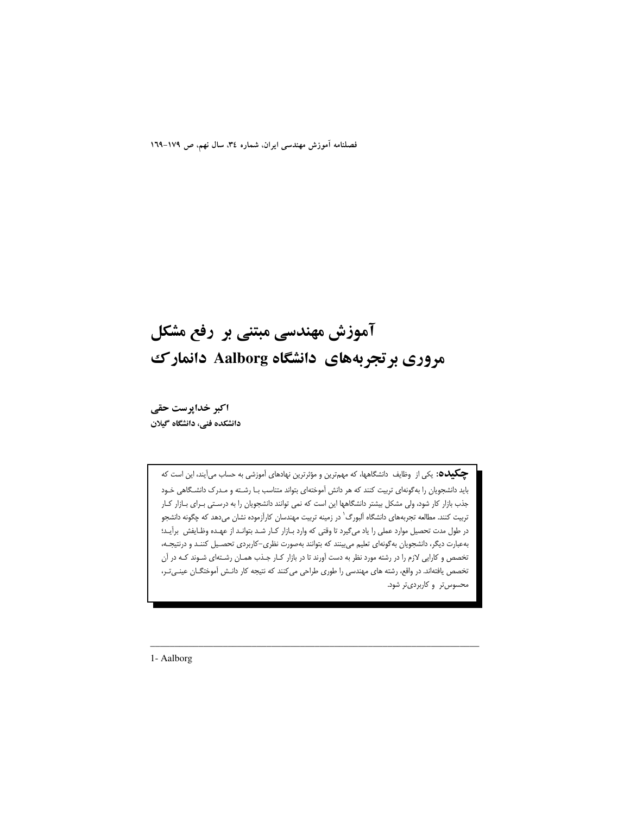فصلنامه آموزش مهندسی ایران، شماره ۳٤، سال نهم، ص ١٧٩-١٦٩

# آموزش مهندسی مبتنی بر رفع مشکل مروری بر تجربههای دانشگاه Aalborg دانمارک

اکبر خداپرست حقی دانشکده فنی، دانشگاه گیلان

> **چکیده:** یکی از وظایف دانشگاهها، که مهمترین و مؤثرترین نهادهای آموزشی به حساب میآیند، این است که باید دانشجویان را بهگونهای تربیت کنند که هر دانش آموختهای بتواند متناسب بـا رشـته و مـدرک دانشـگاهی خـود جذب بازار کار شود، ولی مشکل بیشتر دانشگاهها این است که نمی توانند دانشجویان را به درستی بـرای بـازار کـار تربیت کنند. مطالعه تجربههای دانشگاه آلبورگ` در زمینه تربیت مهندسان کارآزموده نشان میدهد که چگونه دانشجو در طول مدت تحصیل موارد عملی را یاد میگیرد تا وقتی که وارد بـازار کـار شـد بتوانـد از عهـده وظـایفش برآیـد؛ بهعبارت دیگر، دانشجویان به گونهای تعلیم می بینند که بتوانند بهصورت نظری–کاربردی تحصـیل کننـد و درنتیجـه، تخصص و کارایی لازم را در رشته مورد نظر به دست آورند تا در بازار کـار جـذب همـان رشـتهای شـوند کـه در آن تخصص یافتهاند. در واقع، رشته های مهندسی را طوری طراحی می کنند که نتیجه کار دانـش آموختگـان عینـیتـر، محسوس تر و کاربردی تر شود.

1- Aalborg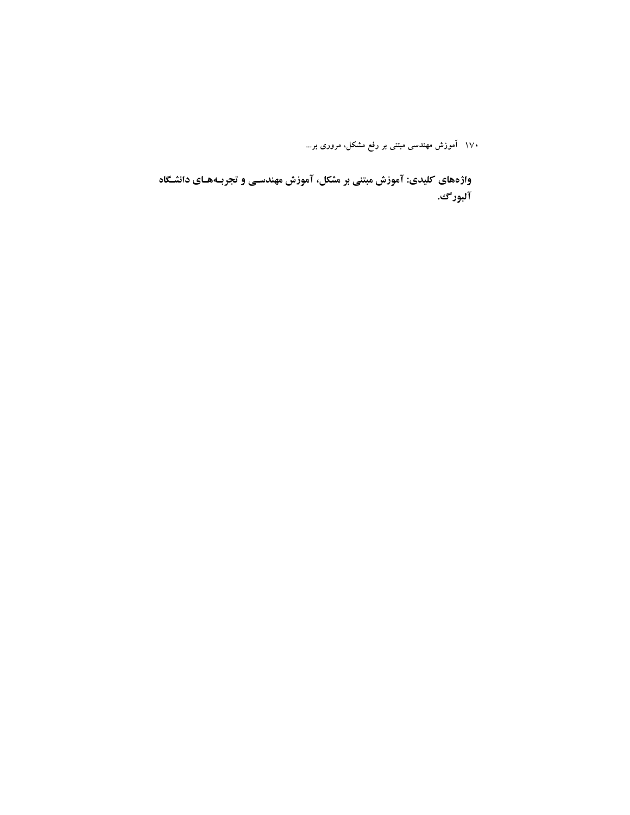واژههای کلیدی: آموزش مبتنی بر مشکل، آموزش مهندسـی و تجربـههـای دانشـگاه آلبورگ.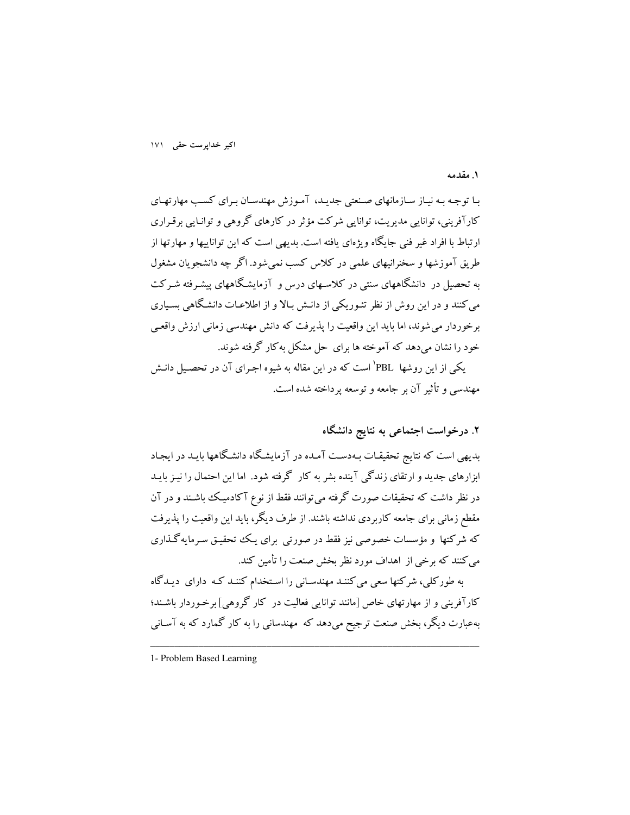١. مقدمه

بـا توجـه بـه نيـاز سـازمانهاي صـنعتي جديـد، آمـوزش مهندسـان بـراي كسـب مهارتهـاي کارآفرینی، توانایی مدیریت، توانایی شرکت مؤثر در کارهای گروهی و توانـایی برقـراری ارتباط با افراد غیر فنی جایگاه ویژهای یافته است. بدیهی است که این تواناییها و مهارتها از طریق آموزشها و سخنرانیهای علمی در کلاس کسب نمی شود. اگر چه دانشجویان مشغول به تحصیل در دانشگاههای سنتی در کلاسـهای درس و آزمایشـگاههای پیشـرفته شـرکت می کنند و در این روش از نظر تئـوریکی از دانـش بـالا و از اطلاعـات دانشـگاهی بسـیاری برخوردار می شوند، اما باید این واقعیت را پذیرفت که دانش مهندسی زمانی ارزش واقعبی خود را نشان می دهد که آموخته ها برای حل مشکل به کار گرفته شوند.

یکی از این روشها PBL' است که در این مقاله به شیوه اجـرای آن در تحصـیل دانـش مهندسی و تأثیر آن بر جامعه و توسعه برداخته شده است.

## ۲. درخواست اجتماعی به نتایج دانشگاه

بدیهی است که نتایج تحقیقـات بـهدسـت آمـده در آزمایشـگاه دانشـگاهها بایـد در ایجـاد ابزارهای جدید و ارتقای زندگی آینده بشر به کار گرفته شود. اما این احتمال را نیـز بایـد در نظر داشت که تحقیقات صورت گرفته می توانند فقط از نوع آکادمیک باشـند و در آن مقطع زمانی برای جامعه کاربردی نداشته باشند. از طرف دیگر، باید این واقعیت را پذیرفت که شرکتها و مؤسسات خصوصی نیز فقط در صورتی برای یک تحقیـق سـرمایهگـذاری می کنند که برخی از اهداف مورد نظر بخش صنعت را تأمین کند.

به طورکلی، شرکتها سعی می کننـد مهندسـانی را اسـتخدام کننـد کـه دارای دیـدگاه کارآفرینی و از مهارتهای خاص [مانند توانایی فعالیت در کار گروهی] برخـوردار باشـند؛ بهعبارت دیگر، بخش صنعت ترجیح میدهد که ًمهندسانی را به کار گمارد که به آسـانی

<sup>1-</sup> Problem Based Learning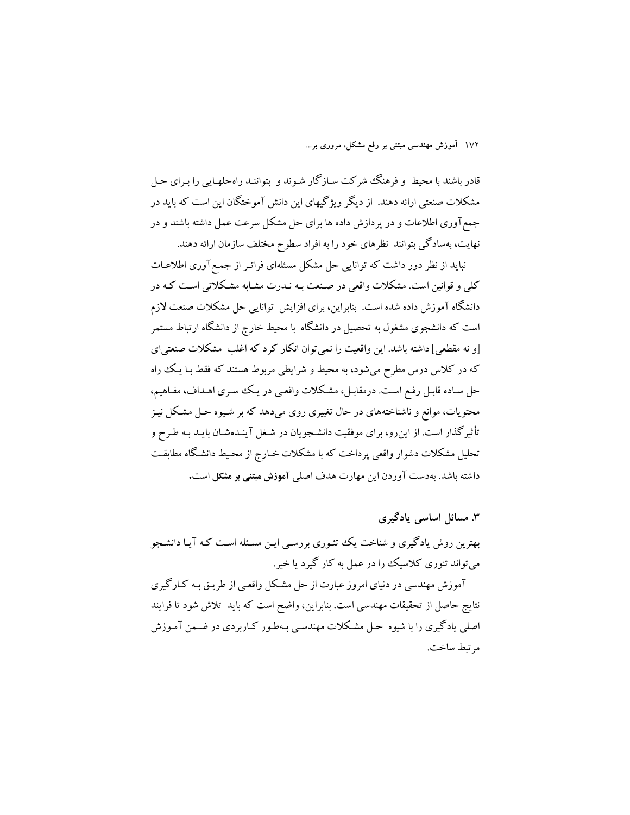.<br>قادر باشند با محیط و فرهنگ شرکت سـازگار شـوند و بتواننـد راهحلهـایی را بـرای حـل مشکلات صنعتی ارائه دهند. از دیگر ویژگیهای این دانش آموختگان این است که باید در جمع آوری اطلاعات و در پردازش داده ها برای حل مشکل سرعت عمل داشته باشند و در نهایت، بهسادگی بتوانند نظرهای خود را به افراد سطوح مختلف سازمان ارائه دهند.

نباید از نظر دور داشت که توانایی حل مشکل مسئلهای فراتـر از جمـع آوری اطلاعـات کلی و قوانین است. مشکلات واقعی در صنعت بـه نـدرت مشـابه مشـکلاتی اسـت کـه در دانشگاه آموزش داده شده است. بنابراین، برای افزایش توانایی حل مشکلات صنعت لازم است که دانشجوی مشغول به تحصیل در دانشگاه با محیط خارج از دانشگاه ارتباط مستمر [و نه مقطعی] داشته باشد. این واقعیت را نمی توان انکار کرد که اغلب ًمشکلات صنعتی ای که در کلاس درس مطرح میشود، به محیط و شرایطی مربوط هستند که فقط بـا یـک راه حل سـاده قابـل رفـع اسـت. درمقابـل، مشـكلات واقعـي در يـك سـرى اهـداف، مفـاهيم، محتویات، موانع و ناشناختههای در حال تغییری روی میدهد که بر شـیوه حـل مشـکل نیـز تأثیر گذار است. از این رو، برای موفقیت دانشـجو یان در شـغل آینـدهشـان بایـد بـه طـرح و تحلیل مشکلات دشوار واقعی پرداخت که با مشکلات خـارج از محـیط دانشـگاه مطابقـت داشته ىاشد. بەدست آوردن اين مهارت هدف اصلى آموزش مبتنى بو مشكل است.

۳. مسائل اساسی یادگیری بهترین روش یادگیری و شناخت یک تئـوری بررسـی ایـن مسـئله اسـت کـه آیـا دانشـجو مې تواند تئوري کلاسيک را در عمل به کار گيړد يا خير.

آموزش مهندسی در دنیای امروز عبارت از حل مشکل واقعبی از طریـق بـه کـارگیری نتايج حاصل از تحقيقات مهندسي است. بنابراين، واضح است كه بايد تلاش شود تا فرايند اصلی یادگیری را با شیوه حل مشکلات مهندسی بـهطـور کـاربردی در ضـمن آمـوزش مرتبط ساخت.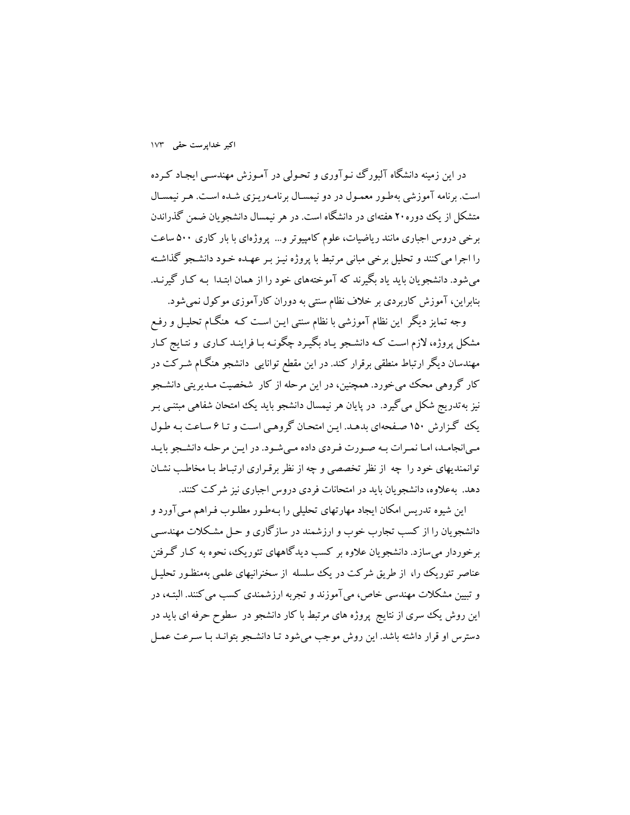در این زمینه دانشگاه آلبورگ نـوآوری و تحـولی در آمـوزش مهندسـی ایجـاد کـرده است. برنامه آموزشی بهطور معمول در دو نیمسال برنامه ریزی شده است. هر نیمسال متشکل از یک دوره۲۰ هفتهای در دانشگاه است. در هر نیمسال دانشجو بان ضمن گذراندن برخی دروس اجباری مانند ریاضیات، علوم کامپیوتر و... پروژهای با بار کاری ۵۰۰ ساعت را اجرا می کنند و تحلیل برخی مبانی مرتبط با پروژه نیـز بـر عهـده خـود دانشـجو گذاشـته میشود. دانشجویان باید یاد بگیرند که آموختههای خود را از همان ابتـدا بـه کـار گیرنـد. بنابراین، آموزش کاربردی بر خلاف نظام سنتی به دوران کارآموزی موکول نمیشود.

وجه تمایز دیگر این نظام آموزشی با نظام سنتی ایـن اسـت کـه هنگـام تحلیـل و رفـع مشکل پروژه، لازم است کـه دانشـجو يـاد بِگيـرد چگونـه بـا فراينـد کـاري و نتـايج کـار مهندسان دیگر ارتباط منطقی برقرار کند. در این مقطع توانایی دانشجو هنگـام شـرکت در کار گروهی محک میخورد. همچنین، در این مرحله از کار شخصیت مـدیریتی دانشـجو نیز به تدریج شکل می گیرد. در پایان هر نیمسال دانشجو باید یک امتحان شفاهی مبتنبی بـر یک گزارش ۱۵۰ صفحهای بدهد. این امتحان گروهبی است و تا ۶ ساعت به طول مبی انجامـد، امـا نمـرات بـه صـورت فـردی داده مـی شـود. در ایـن مرحلـه دانشـجو بایـد توانمندیهای خود را چه از نظر تخصصی و چه از نظر برقراری ارتباط بـا مخاطـب نشـان دهد. به علاوه، دانشجو بان باید در امتحانات فردی دروس اجباری نیز شرکت کنند.

این شیوه تدریس امکان ایجاد مهارتهای تحلیلی را بـهطـور مطلـوب فـراهم مـی آورد و دانشجویان را از کسب تجارب خوب و ارزشمند در سازگاری و حـل مشـکلات مهندسـی برخوردار می سازد. دانشجو یان علاوه بر کسب دیدگاههای تئوریک، نحوه به کـار گـرفتن عناصر تئوریک را، از طریق شرکت در یک سلسله از سخنرانیهای علمی بهمنظـور تحلیـل و تبیین مشکلات مهندسی خاص، می آموزند و تجربه ارزشمندی کسب می کنند. البتـه، در این روش یک سری از نتایج پروژه های مرتبط با کار دانشجو در سطوح حرفه ای باید در دسترس او قرار داشته باشد. این روش موجب می شود تـا دانشـجو بتوانـد بـا سـرعت عمـل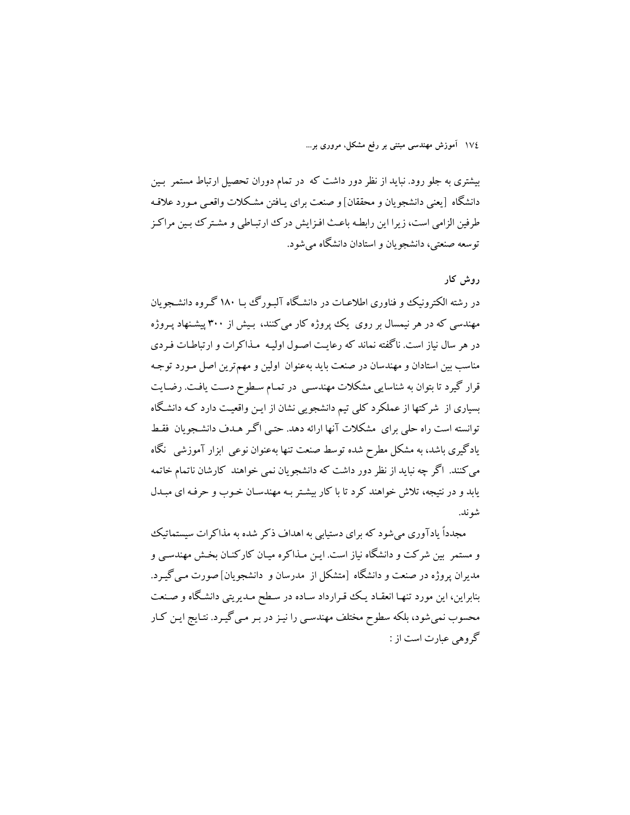بیشتری به جلو رود. نباید از نظر دور داشت که در تمام دوران تحصیل ارتباط مستمر بین دانشگاه [يعني دانشجويان و محققان] و صنعت براي پـافتن مشـكلات واقعـي مـورد علاقـه طرفین الزامی است، زیرا این رابطه باعث افـزایش درک ارتبـاطی و مشـترک بـین مراکـز توسعه صنعتی، دانشجو بان و استادان دانشگاه می شود.

## دوش کار

در رشته الکترونیک و فناوری اطلاعیات در دانشگاه آلیورگ یا ۱۸۰ گروه دانشجویان مهندسی که در هر نیمسال بر روی یک پروژه کار میکنند، بیش از ۳۰۰ پیشنهاد پـروژه در هر سال نیاز است. ناگفته نماند که رعایت اصول اولیـه مـذاکرات و ارتباطـات فـردی مناسب بین استادان و مهندسان در صنعت باید بهعنوان اولین و مهمترین اصل مـورد توجـه قرار گیرد تا بتوان به شناسایی مشکلات مهندسبی در تمـام سـطوح دسـت یافـت. رضـایت بسیاری از شرکتها از عملکرد کلی تیم دانشجویی نشان از ایـن واقعیـت دارد کـه دانشگاه توانسته است راه حلبي براي مشكلات آنها ارائه دهد. حتبي اگـر هـدف دانشـجويان فقـط یادگیری باشد، به مشکل مطرح شده توسط صنعت تنها بهعنوان نوعی ابزار آموزشی ِ نگاه می کنند. اگر چه نباید از نظر دور داشت که دانشجویان نمی خواهند کارشان ناتمام خاتمه یابد و در نتیجه، تلاش خواهند کرد تا با کار بیشتر بـه مهندسـان خـوب و حرفـه ای مبــدل شو ند.

مجدداً یادآوری می شود که برای دستیابی به اهداف ذکر شده به مذاکرات سیستماتیک و مستمر ً بین شرکت و دانشگاه نیاز است. ایـن مـذاکره میـان کارکنـان بخـش مهندسـی و مدیران پروژه در صنعت و دانشگاه [متشکل از مدرسان و دانشجویان]صورت مبی گیـرد. بنابراین، این مورد تنهـا انعقـاد یـک قـرارداد سـاده در سـطح مـدیریتی دانشـگاه و صـنعت محسوب نمی شود، بلکه سطوح مختلف مهندسی را نیـز در بـر مـی گیـرد. نتـایج ایـن کـار گروهی عبارت است از :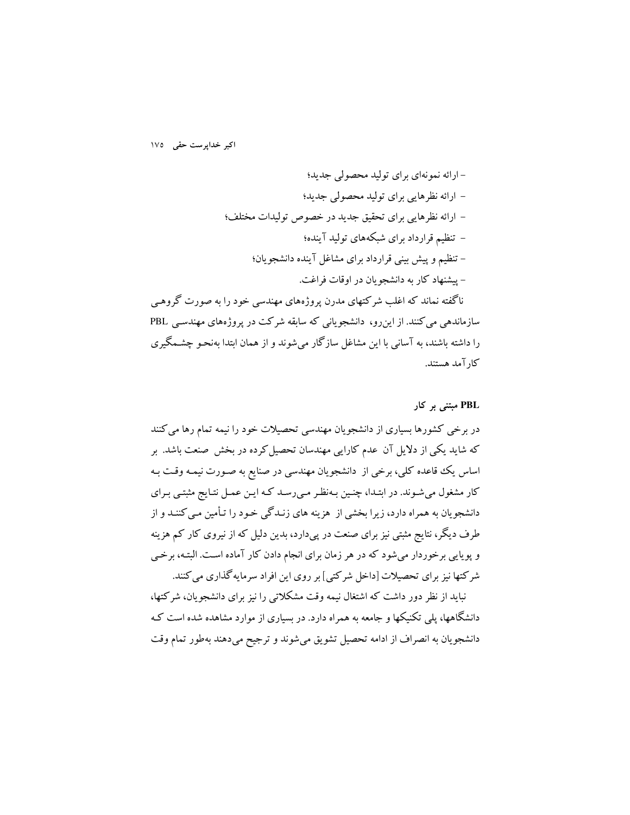روهي سازماندهی می کنند. از این رو، دانشجویانی که سابقه شرکت در پروژههای مهندسی PBL را داشته باشند، به آسانی با این مشاغل سازگار می شوند و از همان ابتدا بهنحـو چشـمگیری كار آمد هستند.

#### PBL مبتنی بر کار

در برخی کشورها بسیاری از دانشجویان مهندسی تحصیلات خود را نیمه تمام رها می کنند که شاید یکی از دلایل آن عدم کارایی مهندسان تحصیل کرده در بخش صنعت باشد. بر اساس یک قاعده کلی، برخی از دانشجویان مهندسی در صنایع به صـورت نیمـه وقـت بـه کار مشغول می شـوند. در ابتـدا، چنـین بـهنظـر مـی(سـد کـه ایـن عمـل نتـایج مثبتـی بـرای دانشجویان به همراه دارد، زیرا بخشی از ًهزینه های زنـدگی خـود را تـأمین مـی کننـد و از طرف دیگر، نتایج مثبتی نیز برای صنعت در پیدارد، بدین دلیل که از نیروی کار کم هزینه و پوپایی برخوردار می شود که در هر زمان برای انجام دادن کار آماده است. البتـه، برخـی شرکتها نیز برای تحصیلات [داخل شرکتی] بر روی این افراد سرمایه گذاری می کنند.

نباید از نظر دور داشت که اشتغال نیمه وقت مشکلاتی را نیز برای دانشجویان، شرکتها، دانشگاهها، یلی تکنیکها و جامعه به همراه دارد. در بسیاری از موارد مشاهده شده است کـه دانشجویان به انصراف از ادامه تحصیل تشویق میشوند و ترجیح میدهند بهطور تمام وقت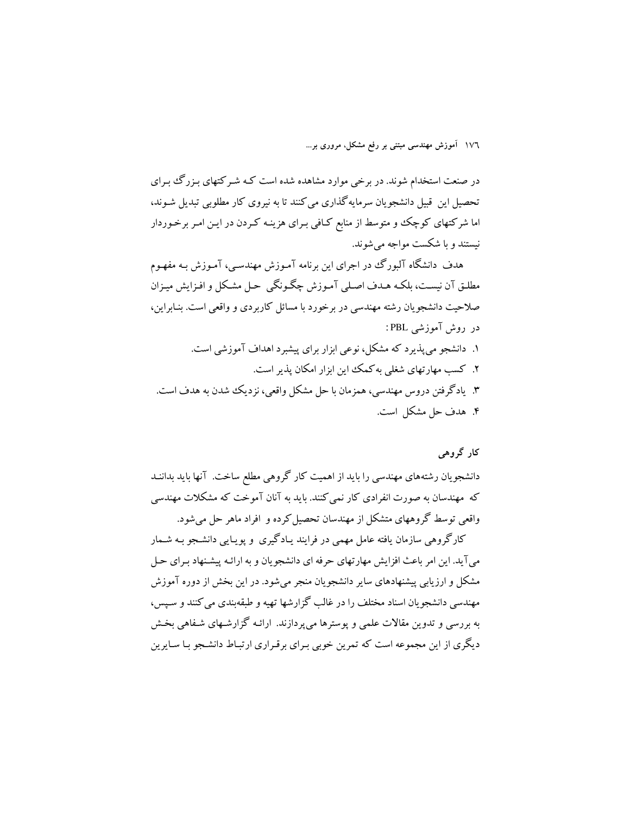در صنعت استخدام شوند. در برخی موارد مشاهده شده است کـه شـر کتهای بـزرگ بـرای تحصیل این قبیل دانشجویان سرمایهگذاری می کنند تا به نیروی کار مطلوبی تبدیل شـوند، اما شرکتهای کوچک و متوسط از منابع کـافی بـرای هزینـه کـردن در ایـن امـر برخـوردار نیستند و با شکست مواجه می شوند.

هدف دانشگاه آلبورگ در اجرای این برنامه آمـوزش مهندسـی، آمـوزش بـه مفهـوم مطلـق آن نيسـت، بلكـه هـدف اصـلي آمـوزش چگـونگي حـل مشـكل و افـزايش ميـزان صلاحیت دانشجویان رشته مهندسی در برخورد با مسائل کاربردی و واقعی است. بنـابراین، در روش آموزشی PBL: ۱. دانشجو می پذیرد که مشکل، نوعی ابزار برای پیشبرد اهداف آموزشی است. ۲. کسب مهارتهای شغلی به کمک این ایزار امکان پذیر است. ۳. یادگرفتن دروس مهندسی، همزمان با حل مشکل واقعی، نزدیک شدن به هدف است.

۴. هدف حل مشکل است.

### کار گروهي

دانشجویان رشتههای مهندسی را باید از اهمیت کار گروهی مطلع ساخت. آنها باید بداننـد که مهندسان به صورت انفرادی کار نمی کنند. باید به آنان آموخت که مشکلات مهندسی واقعی توسط گروههای متشکل از مهندسان تحصیل کرده و افراد ماهر حل می شود.

کارگروهی سازمان یافته عامل مهمی در فرایند پیادگیری و یوپیایی دانشجو به شیمار می آید. این امر باعث افزایش مهارتهای حرفه ای دانشجویان و به ارائـه پیشـنهاد بـرای حـل مشکل و ارزیابی پیشنهادهای سایر دانشجویان منجر می شود. در این بخش از دوره آموزش مهندسی دانشجویان اسناد مختلف را در غالب گزارشها تهیه و طبقهبندی می کنند و سیس، به بررسی و تدوین مقالات علمی و پوسترها می پردازند. ارائـه گزارشـهای شـفاهی بخـش دیگری از این مجموعه است که تمرین خوبی بـرای برقـراری ارتبـاط دانشـجو بـا سـایرین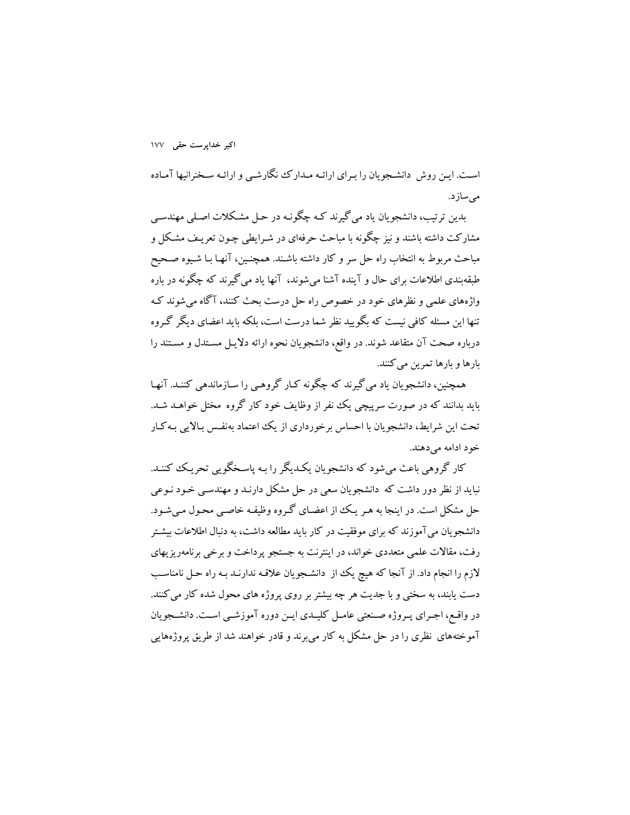است. ایـن روش دانشـجویان را بـرای ارائـه مـدارک نگارشـی و ارائـه سـخنرانیها آمـاده مى سازد.

بدین ترتیب، دانشجو بان باد می گیرند کـه چگونـه در حـل مشـکلات اصـلی مهندسـی مشارکت داشته باشند و نیز چگونه با مباحث حرفهای در شـرایطی چـون تعریـف مشـکل و مباحث مربوط به انتخاب راه حل سر و كار داشته باشـند. همچنـین، آنهـا بـا شـیوه صـحیح طبقه بندی اطلاعات برای حال و آینده آشنا می شوند، آنها یاد می گیرند که چگونه در باره واژههای علمی و نظرهای خود در خصوص راه حل درست بحث کنند، آگاه می شوند ک تنها این مسئله کافی نیست که بگویید نظر شما درست است، بلکه باید اعضای دیگر گـروه درباره صحت آن متقاعد شوند. در واقع، دانشجویان نحوه ارائه دلایـل مسـتدل و مسـتند را بارها و بارها تمرین می کنند.

همچنین، دانشجویان یاد می گیرند که چگونه کـار گروهـی را سـازماندهی کننـد. آنهـا باید بدانند که در صورت سرپیچی یک نفر از وظایف خود کار گروه مختل خواهـد شـد. تحت این شرایط، دانشجویان با احساس برخورداری از یک اعتماد بهنفس بـالایی بـه کـار خو د ادامه می دهند.

کار گروهی باعث میشود که دانشجویان یک<code>دیگر را بـه پاسـخگویی تحریـک کننـد.</code> نباید از نظر دور داشت که ًدانشجویان سعی در حل مشکل دارنـد و مهندسـی خـود نـوعی حل مشکل است. در اینجا به هیر یک از اعضای گیروه وظیفیه خاصبی محبول می شود. دانشجو یان می آموزند که برای موفقیت در کار باید مطالعه داشت، به دنبال اطلاعات بیشتر رفت، مقالات علمی متعددی خواند، در اینترنت به جستجو پرداخت و برخی برنامهریزیهای لازم را انجام داد. از آنجا که هیچ یک از دانشجویان علاقه ندارنـد بـه راه حـل نامناسـب دست یابند، به سختی و با جدیت هر چه بیشتر بر روی پروژه های محول شده کار می کنند. در واقع، اجـراي پـروژه صـنعتي عامـل كليـدي ايـن دوره آموزشـي اسـت. دانشـجويان آموختههای نظری را در حل مشکل به کار می برند و قادر خواهند شد از طریق پروژههایی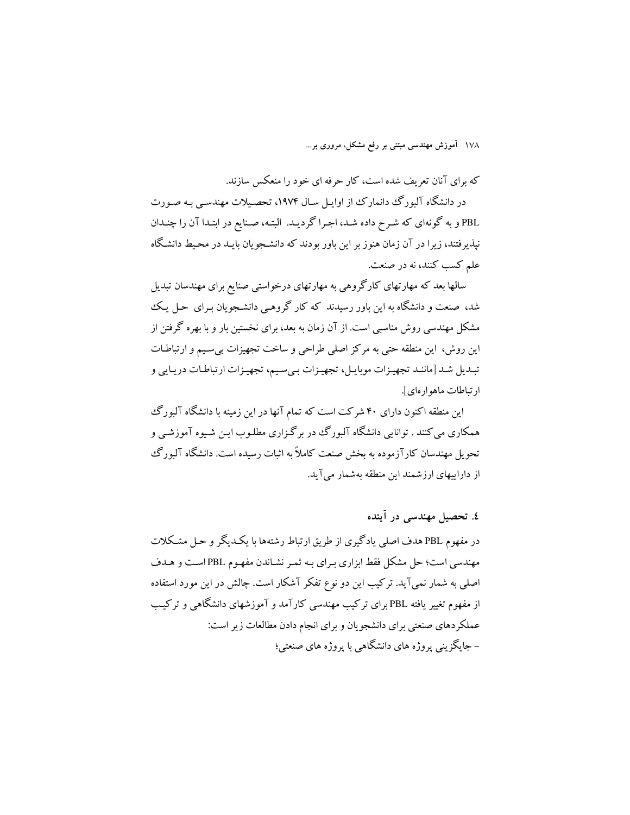که برای آنان تعریف شده است، کار حرفه ای خود را منعکس سازند.

در دانشگاه آلبورگ دانمارک از اوایل سال ۱۹۷۴، تحصیلات مهندسبی به صورت PBL و به گونهای که شرح داده شد، اجرا گردیـد. البتـه، صـنایع در ابتـدا آن را چنـدان نیذیرفتند، زیرا در آن زمان هنوز بر این باور بودند که دانشجویان بایـد در محـیط دانشـگاه علم كسب كنند، نه در صنعت.

سالها بعد که مهارتهای کارگروهی به مهارتهای درخواستی صنایع برای مهندسان تبدیل شد، صنعت و دانشگاه به این باور رسیدند که کار گروهبی دانشجویان برای حـل یـک مشکل مهندسی روش مناسبی است. از آن زمان به بعد، برای نخستین بار و با بهره گرفتن از این روش، این منطقه حتی به مرکز اصلی طراحی و ساخت تجهیزات بی سیم و ارتباطـات تبدیل شد [ماننـد تجهیـزات موبایـل، تجهیـزات بـيسـیم، تجهیـزات ارتباطـات دریـایي و ار تباطات ماهوار های].

این منطقه اکنون دارای ۴۰ شرکت است که تمام آنها در این زمینه با دانشگاه آلبورگ همکاري مي کنند . توانايي دانشگاه آلبورگ در بر گـزاري مطلـوب ايـن شـيوه آموزشـي و تحویل مهندسان کارآزموده به بخش صنعت کاملاً به اثبات رسیده است. دانشگاه آلبورگ از داراییهای ارزشمند این منطقه بهشمار می آید.

## ٤. تحصيل مهندسي در آينده

در مفهوم PBL هدف اصلی یادگیری از طریق ارتباط رشتهها با یک<code>L</code>یگر و حـل مشـکلات مهندسی است؛ حل مشکل فقط ابزاری بـرای بـه ثمـر نشـاندن مفهـوم PBLاسـت و هـدف اصلی به شمار نمی آید. ترکیب این دو نوع تفکر آشکار است. چالش در این مورد استفاده از مفهوم تغییر یافته PBL برای ترکیب مهندسی کارآمد و آموزشهای دانشگاهی و ترکیب عملکر دهای صنعتی برای دانشجویان و برای انجام دادن مطالعات زیر است: – جایگز پنی پروژه های دانشگاهی با پروژه های صنعتی؛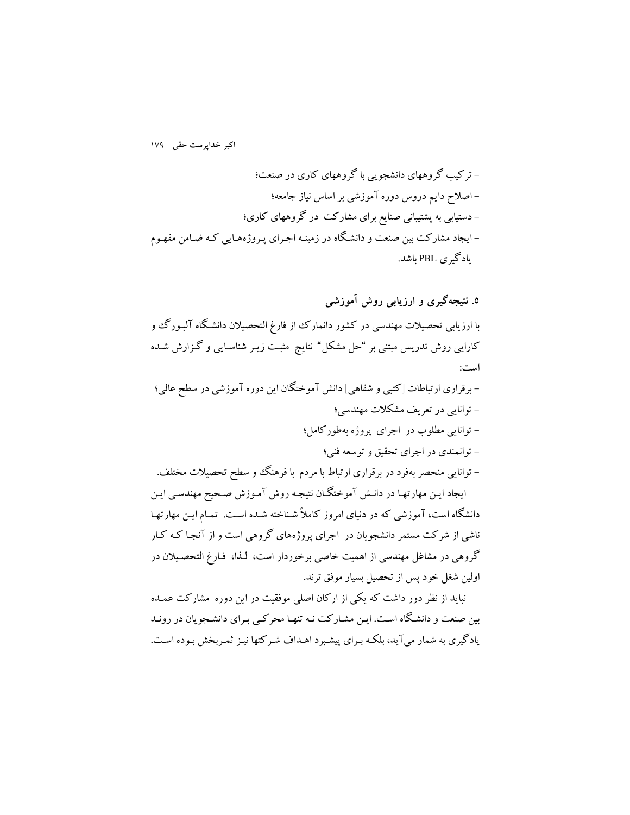– ترکیب گروههای دانشجویی با گروههای کاری در صنعت؛ –اصلاح دایم دروس دوره آموزشی بر اساس نیاز جامعه؛ – دستیابی به پشتیبانی صنایع برای مشارکت در گروههای کاری؛ –ایجاد مشارکت بین صنعت و دانشگاه در زمینـه اجـرای پـروژههـایی کـه ضـامن مفهـوم یادگیری PBL باشد.

۵. نتیجهگیری و ارزیابی روش آموزشی با ارزیابی تحصیلات مهندسی در کشور دانمارک از فارغ التحصیلان دانشگاه آلبـورگ و کارایی روش تدریس مبتنی بر "حل مشکل" نتایج مثبت زیـر شناسـایی و گـزارش شـده است: - برقراری ارتباطات [کتبی و شفاهی] دانش آموختگان این دوره آموزشی در سطح عالمی؛ – توانایی در تعریف مشکلات مهندسی؛ - توانایی مطلوب در اجرای پروژه بهطورکامل؛ - توانمندي در اجراي تحقيق و توسعه فني؛ – توانایی منحصر بهفرد در برقراری ارتباط با مردم با فرهنگ و سطح تحصیلات مختلف. ایجاد ایـن مهارتهـا در دانـش آموختگـان نتیجـه روش آمـوزش صـحیح مهندسـي ایـن

دانشگاه است، آموزشی که در دنیای امروز کاملاً شـناخته شـده اسـت. تمـام ایـن مهارتهـا ناشی از شرکت مستمر دانشجویان در اجرای پروژههای گروهی است و از آنجـا کـه کـار گروهی در مشاغل مهندسی از اهمیت خاصی برخوردار است، لـذا، فـارغ التحصـیلان در اولین شغل خود پس از تحصیل بسیار موفق ترند.

نباید از نظر دور داشت که یکی از ارکان اصلی موفقیت در این دوره مشارکت عمـده بین صنعت و دانشگاه است. ایـن مشـارکت نـه تنهـا محرکـی بـرای دانشـجویان در رونـد یادگیری به شمار می آید، بلکـه بـرای پیشـبرد اهـداف شـرکتها نیـز ثمـربخش بـوده اسـت.